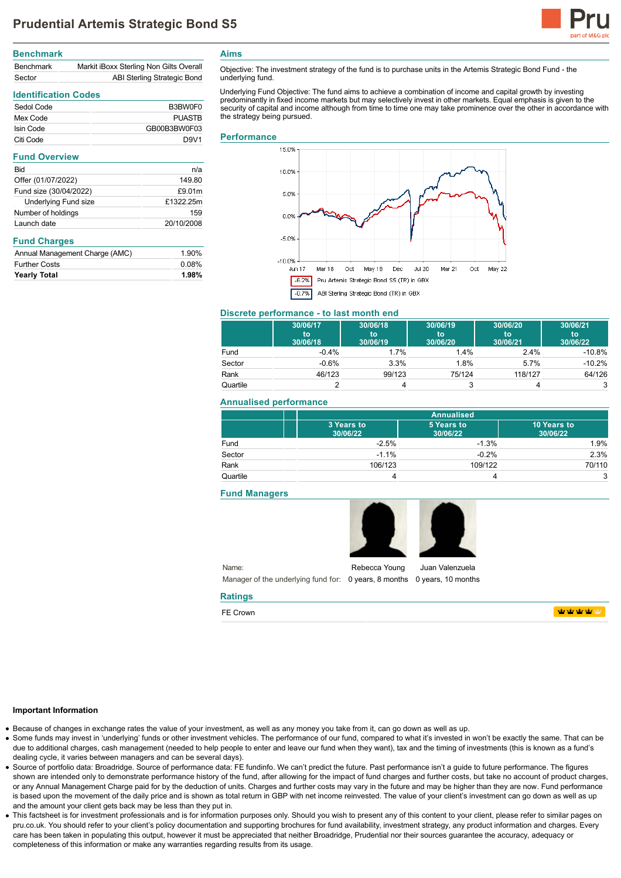

# **Benchmark**

| <b>Benchmark</b> | Markit iBoxx Sterling Non Gilts Overall |
|------------------|-----------------------------------------|
| Sector           | ABI Sterling Strategic Bond             |

## **Identification Codes**

| Sedol Code | B3BW0F0          |
|------------|------------------|
| Mex Code   | PUASTR           |
| Isin Code  | GB00B3BW0F03     |
| Citi Code  | D <sub>9V1</sub> |

### **Fund Overview**

| n/a        |
|------------|
| 149.80     |
| £9.01m     |
| £1322.25m  |
| 159        |
| 20/10/2008 |
|            |

### **Fund Charges**

| <b>Further Costs</b> | 0.08% |
|----------------------|-------|
| <b>Yearly Total</b>  | 1.98% |

**Aims**

Objective: The investment strategy of the fund is to purchase units in the Artemis Strategic Bond Fund - the underlying fund.

Underlying Fund Objective: The fund aims to achieve a combination of income and capital growth by investing predominantly in fixed income markets but may selectively invest in other markets. Equal emphasis is given to the security of capital and income although from time to time one may take prominence over the other in accordance with the strategy being pursued.

#### **Performance**



## **Discrete performance - to last month end**

|          | 30/06/17<br>to<br>30/06/18 | 30/06/18<br>to<br>30/06/19 | 30/06/19<br>to<br>30/06/20 | 30/06/20<br>to<br>30/06/21 | 30/06/21<br>to<br>30/06/22 |
|----------|----------------------------|----------------------------|----------------------------|----------------------------|----------------------------|
| Fund     | $-0.4%$                    | 1.7%                       | 1.4%                       | 2.4%                       | $-10.8%$                   |
| Sector   | $-0.6%$                    | 3.3%                       | 1.8%                       | 5.7%                       | $-10.2%$                   |
| Rank     | 46/123                     | 99/123                     | 75/124                     | 118/127                    | 64/126                     |
| Quartile |                            |                            | 3                          |                            | 3                          |

## **Annualised performance**

|          | <b>Annualised</b>      |                        |                         |
|----------|------------------------|------------------------|-------------------------|
|          | 3 Years to<br>30/06/22 | 5 Years to<br>30/06/22 | 10 Years to<br>30/06/22 |
| Fund     | $-2.5%$                | $-1.3%$                | 1.9%                    |
| Sector   | $-1.1%$                | $-0.2%$                | 2.3%                    |
| Rank     | 106/123                | 109/122                | 70/110                  |
| Quartile |                        |                        | 3                       |

### **Fund Managers**



Name: Manager of the underlying fund for: 0 years, 8 months 0 years, 10 months Rebecca Young Juan Valenzuela

### **Ratings**

FE Crown

**WWWWW** 

#### **Important Information**

Because of changes in exchange rates the value of your investment, as well as any money you take from it, can go down as well as up.

- Some funds may invest in 'underlying' funds or other investment vehicles. The performance of our fund, compared to what it's invested in won't be exactly the same. That can be due to additional charges, cash management (needed to help people to enter and leave our fund when they want), tax and the timing of investments (this is known as a fund's dealing cycle, it varies between managers and can be several days).
- Source of portfolio data: Broadridge. Source of performance data: FE fundinfo. We can't predict the future. Past performance isn't a guide to future performance. The figures shown are intended only to demonstrate performance history of the fund, after allowing for the impact of fund charges and further costs, but take no account of product charges, or any Annual Management Charge paid for by the deduction of units. Charges and further costs may vary in the future and may be higher than they are now. Fund performance is based upon the movement of the daily price and is shown as total return in GBP with net income reinvested. The value of your client's investment can go down as well as up and the amount your client gets back may be less than they put in.
- This factsheet is for investment professionals and is for information purposes only. Should you wish to present any of this content to your client, please refer to similar pages on pru.co.uk. You should refer to your client's policy documentation and supporting brochures for fund availability, investment strategy, any product information and charges. Every care has been taken in populating this output, however it must be appreciated that neither Broadridge, Prudential nor their sources guarantee the accuracy, adequacy or completeness of this information or make any warranties regarding results from its usage.